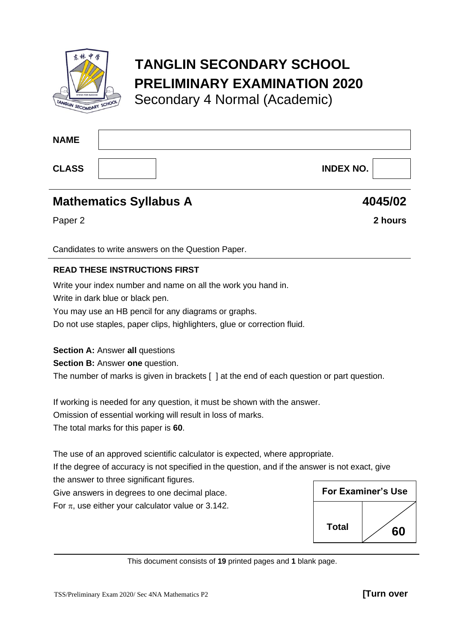

# **TANGLIN SECONDARY SCHOOL PRELIMINARY EXAMINATION 2020**

Secondary 4 Normal (Academic)

**NAME CLASS INDEX NO.**

# **Mathematics Syllabus A** 4045/02

Paper 2 **2 hours**

Candidates to write answers on the Question Paper.

# **READ THESE INSTRUCTIONS FIRST**

Write your index number and name on all the work you hand in. Write in dark blue or black pen. You may use an HB pencil for any diagrams or graphs. Do not use staples, paper clips, highlighters, glue or correction fluid. **Section A:** Answer **all** questions

**Section B:** Answer **one** question.

The number of marks is given in brackets [ ] at the end of each question or part question.

If working is needed for any question, it must be shown with the answer.

Omission of essential working will result in loss of marks.

The total marks for this paper is **60**.

The use of an approved scientific calculator is expected, where appropriate.

If the degree of accuracy is not specified in the question, and if the answer is not exact, give the answer to three significant figures.

Give answers in degrees to one decimal place. For  $\pi$ , use either your calculator value or 3.142.



This document consists of **19** printed pages and **1** blank page.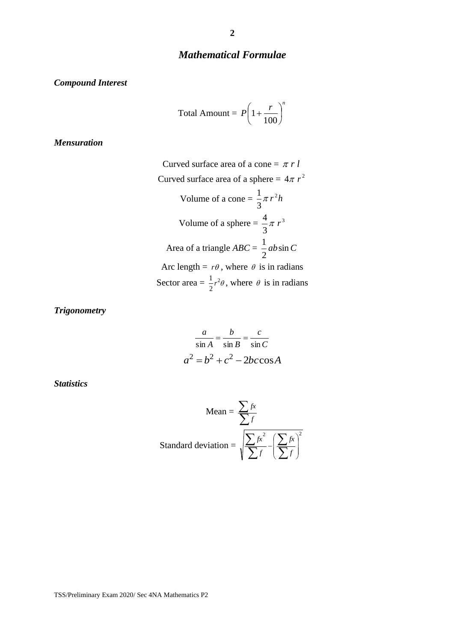# *Mathematical Formulae*

*Compound Interest*

Total Amount = 
$$
P\left(1 + \frac{r}{100}\right)^n
$$

*Mensuration*

Curved surface area of a cone =  $\pi r l$ Curved surface area of a sphere =  $4\pi r^2$ Volume of a cone =  $\frac{1}{2} \pi r^2 h$ 3  $\frac{1}{-\pi}$ Volume of a sphere =  $\frac{4}{3}\pi r^3$ 3  $\frac{4}{3}\pi r$ Area of a triangle  $ABC = \frac{1}{2}ab\sin C$ 2 1 Arc length =  $r\theta$ , where  $\theta$  is in radians Sector area =  $\frac{1}{2}r^2\theta$ 2  $\frac{1}{2}r^2\theta$ , where  $\theta$  is in radians

*Trigonometry*

$$
\frac{a}{\sin A} = \frac{b}{\sin B} = \frac{c}{\sin C}
$$

$$
a^2 = b^2 + c^2 - 2bc \cos A
$$

*Statistics*

Mean = 
$$
\frac{\sum f}{f}
$$
  
Standard deviation = 
$$
\sqrt{\frac{\sum f}{f} \sum f} - (\frac{\sum f}{f})^2
$$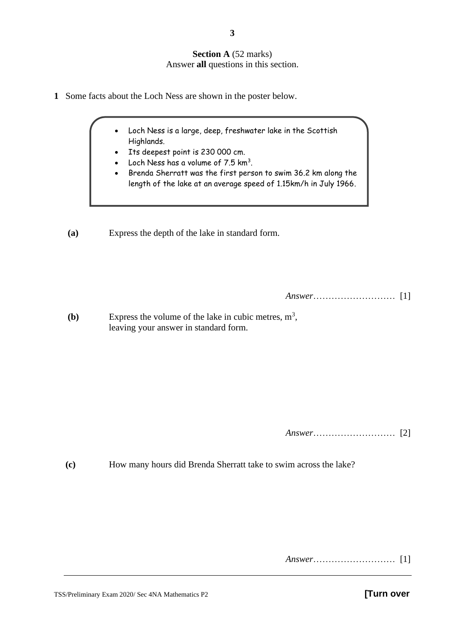#### **Section A** (52 marks) Answer **all** questions in this section.

- **1** Some facts about the Loch Ness are shown in the poster below.
	- Loch Ness is a large, deep, freshwater lake in the Scottish Highlands.
		- Its deepest point is 230 000 cm.
		- Loch Ness has a volume of  $7.5 \text{ km}^3$ .
		- Brenda Sherratt was the first person to swim 36.2 km along the length of the lake at an average speed of 1.15km/h in July 1966.

 **(a)** Express the depth of the lake in standard form.

*Answer*……………………… [1]

(b) Express the volume of the lake in cubic metres,  $m^3$ , leaving your answer in standard form.

*Answer*……………………… [2]

**(c)** How many hours did Brenda Sherratt take to swim across the lake?

*Answer*……………………… [1]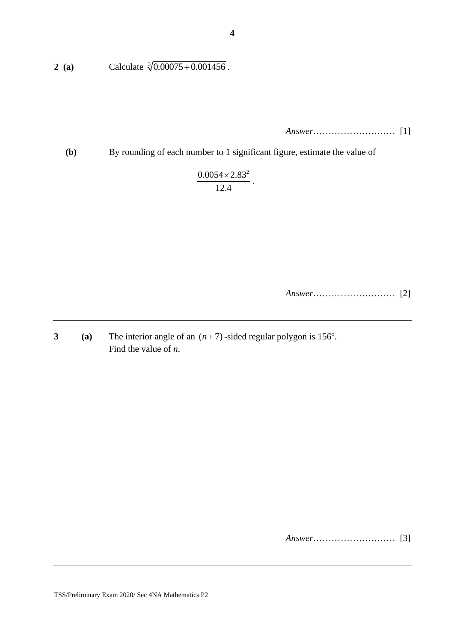**2** (a) Calculate  $\sqrt[3]{0.00075 + 0.001456}$ .

*Answer*……………………… [1]

**(b)** By rounding of each number to 1 significant figure, estimate the value of

 $0.0054 \times 2.83^2$ 12.4  $\times 2.83^2$ .

*Answer*……………………… [2]

**3** (a) The interior angle of an  $(n+7)$ -sided regular polygon is 156<sup>o</sup>. Find the value of *n*.

*Answer*……………………… [3]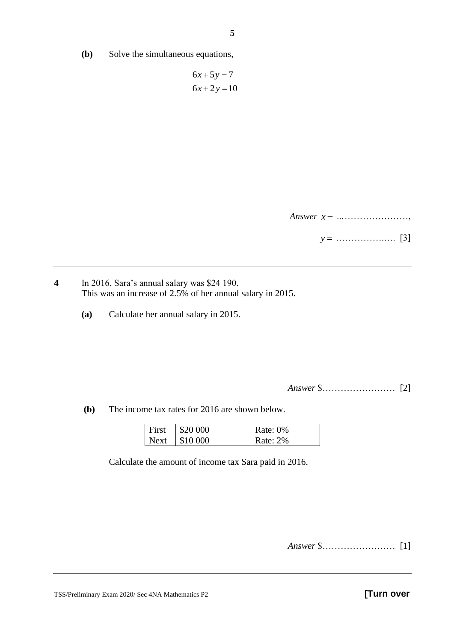**(b)** Solve the simultaneous equations,

 $6x + 5y = 7$  $6x+2y=10$ 

*Answer x* = *…*…………………,

*y* = …………….…. [3]

**4** In 2016, Sara's annual salary was \$24 190. This was an increase of 2.5% of her annual salary in 2015.

**(a)** Calculate her annual salary in 2015.

*Answer* \$…………………… [2]

 **(b)** The income tax rates for 2016 are shown below.

| First | \$20 000               | Rate: $0\%$ |
|-------|------------------------|-------------|
| Next  | $\frac{1}{2}$ \$10 000 | Rate: $2\%$ |

Calculate the amount of income tax Sara paid in 2016.

*Answer* \$…………………… [1]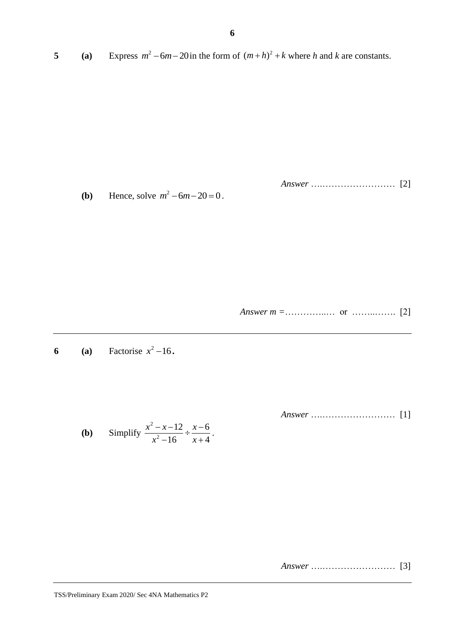|  |  | Express $m^2 - 6m - 20$ in the form of $(m+h)^2 + k$ where h and k are constants. |
|--|--|-----------------------------------------------------------------------------------|
|--|--|-----------------------------------------------------------------------------------|

*Answer* ….…………………… [2]

**(b)** Hence, solve  $m^2 - 6m - 20 = 0$ .

*Answer m =*…………..… or ……..……. [2]

**6 (a)** Factorise  $x^2-16$ **.** 

*Answer* ….…………………… [1]

**(b)** Simplify 2 2  $12 \times -6$ 16  $x+4$  $x^2 - x - 12$ , x  $x^2-16$  *x*  $\frac{-x-12}{x^2-16} \div \frac{x-6}{x+4}$ .

*Answer* ….…………………… [3]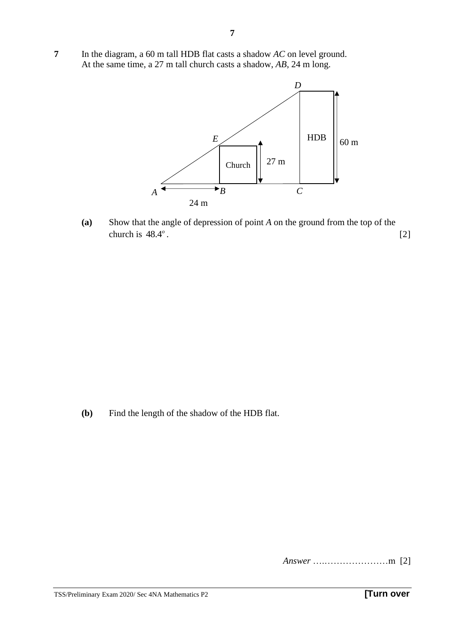**7** In the diagram, a 60 m tall HDB flat casts a shadow *AC* on level ground. At the same time, a 27 m tall church casts a shadow, *AB*, 24 m long.

**7**



**(a)** Show that the angle of depression of point *A* on the ground from the top of the church is 48.4*<sup>o</sup>* .  $[2]$ 

**(b)** Find the length of the shadow of the HDB flat.

*Answer* ….…………………m [2]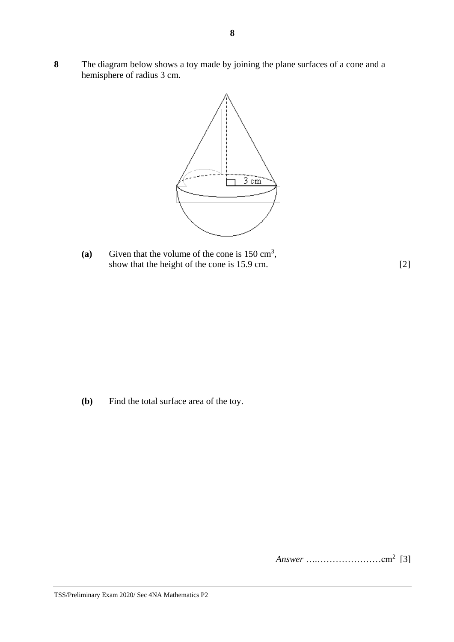**8** The diagram below shows a toy made by joining the plane surfaces of a cone and a hemisphere of radius 3 cm.

**8**



(a) Given that the volume of the cone is  $150 \text{ cm}^3$ , show that the height of the cone is 15.9 cm. [2]

**(b)** Find the total surface area of the toy.

*Answer* ….…………………cm<sup>2</sup> [3]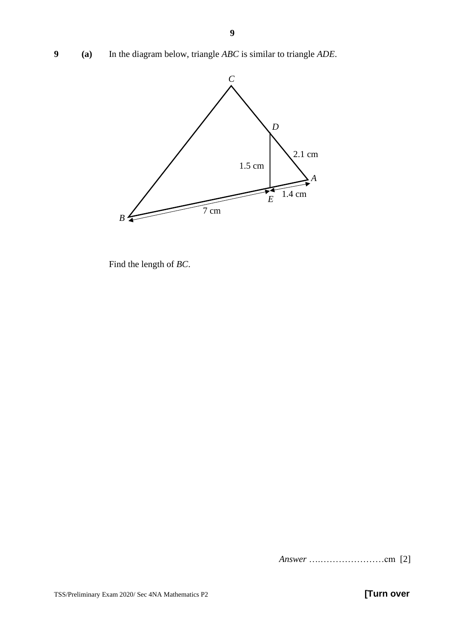# **9 (a)** In the diagram below, triangle *ABC* is similar to triangle *ADE*.



Find the length of *BC*.

*Answer* ….…………………cm [2]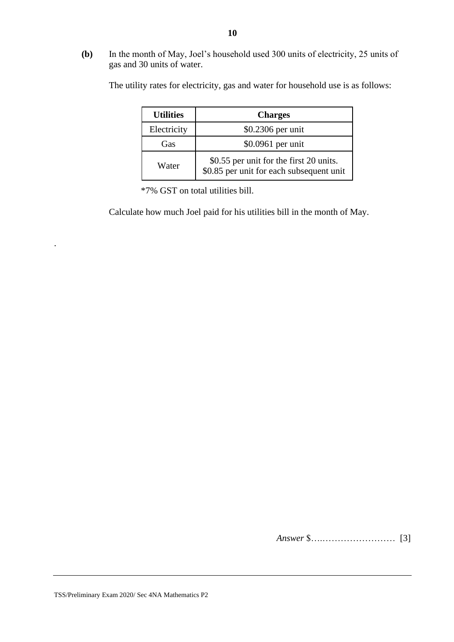**(b)** In the month of May, Joel's household used 300 units of electricity, 25 units of gas and 30 units of water.

The utility rates for electricity, gas and water for household use is as follows:

| <b>Utilities</b><br><b>Charges</b> |                                                                                     |  |
|------------------------------------|-------------------------------------------------------------------------------------|--|
| Electricity                        | \$0.2306 per unit                                                                   |  |
| Gas                                | \$0.0961 per unit                                                                   |  |
| Water                              | \$0.55 per unit for the first 20 units.<br>\$0.85 per unit for each subsequent unit |  |

\*7% GST on total utilities bill.

Calculate how much Joel paid for his utilities bill in the month of May.

*Answer* \$….…………………… [3]

.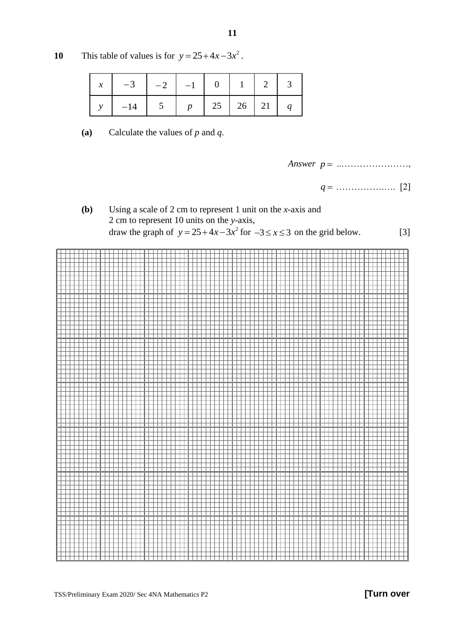**10** This table of values is for  $y = 25 + 4x - 3x^2$ .

|       | $-3$   $-2$   $-1$   0   1   2 |                                    |  |  |
|-------|--------------------------------|------------------------------------|--|--|
| $-14$ | $5 \quad$                      | $p \mid 25 \mid 26 \mid 21 \mid q$ |  |  |

**(a)** Calculate the values of *p* and *q*.

*Answer p* = *…*…………………,

*q* = …………….…. [2]

**(b)** Using a scale of 2 cm to represent 1 unit on the *x*-axis and 2 cm to represent 10 units on the *y*-axis, draw the graph of  $y = 25 + 4x - 3x^2$  for  $-3 \le x \le 3$  on the grid below. [3]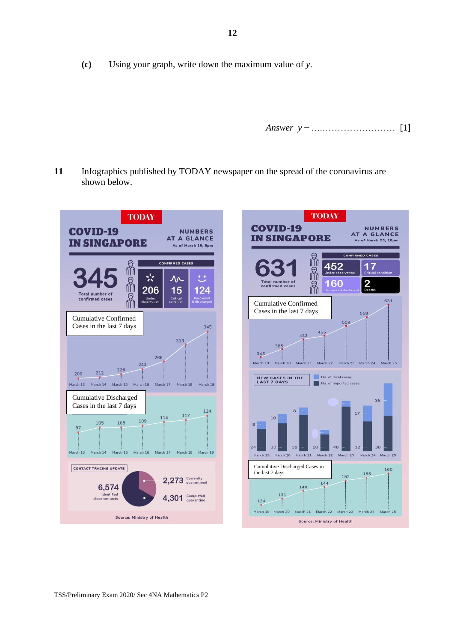**(c)** Using your graph, write down the maximum value of *y*.

*Answer y* =….…………………… [1]

**11** Infographics published by TODAY newspaper on the spread of the coronavirus are shown below.



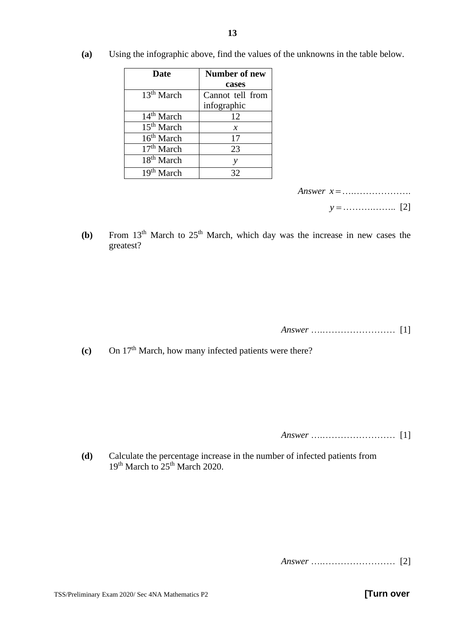| Date                   | Number of new    |  |  |
|------------------------|------------------|--|--|
|                        | cases            |  |  |
| 13 <sup>th</sup> March | Cannot tell from |  |  |
|                        | infographic      |  |  |
| 14 <sup>th</sup> March | 12               |  |  |
| 15 <sup>th</sup> March | $\mathcal{X}$    |  |  |
| 16 <sup>th</sup> March | 17               |  |  |
| $17th$ March           | 23               |  |  |
| 18 <sup>th</sup> March |                  |  |  |
| 19 <sup>th</sup> March | 32               |  |  |

**(a)** Using the infographic above, find the values of the unknowns in the table below.

*Answer x* =….……………….

*y* =……….…….. [2]

**(b)** From 13<sup>th</sup> March to 25<sup>th</sup> March, which day was the increase in new cases the greatest?

*Answer* ….…………………… [1]

**(c)** On 17th March, how many infected patients were there?

*Answer* ….…………………… [1]

**(d)** Calculate the percentage increase in the number of infected patients from 19<sup>th</sup> March to 25<sup>th</sup> March 2020.

*Answer* ….…………………… [2]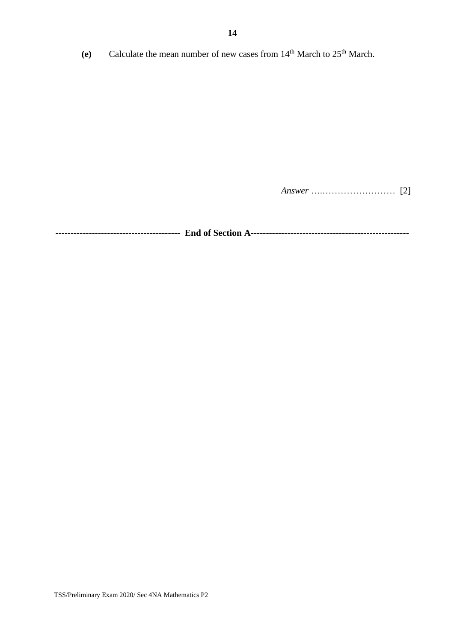**(e)** Calculate the mean number of new cases from 14<sup>th</sup> March to 25<sup>th</sup> March.

*Answer* ….…………………… [2]

**----------------------------------------- End of Section A----------------------------------------------------**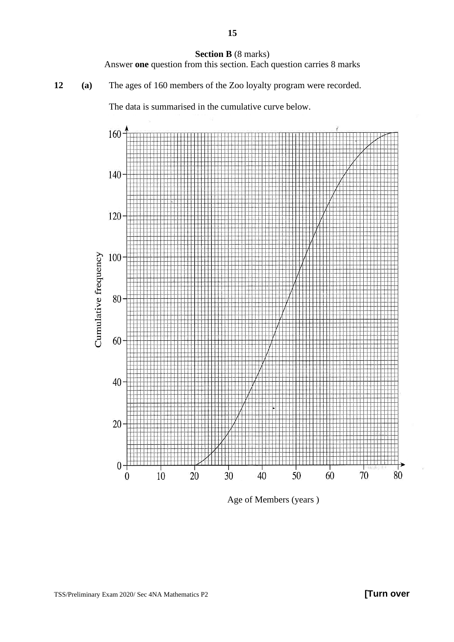#### **Section B** (8 marks)

Answer **one** question from this section. Each question carries 8 marks

**12 (a)** The ages of 160 members of the Zoo loyalty program were recorded.

The data is summarised in the cumulative curve below.



Age of Members (years )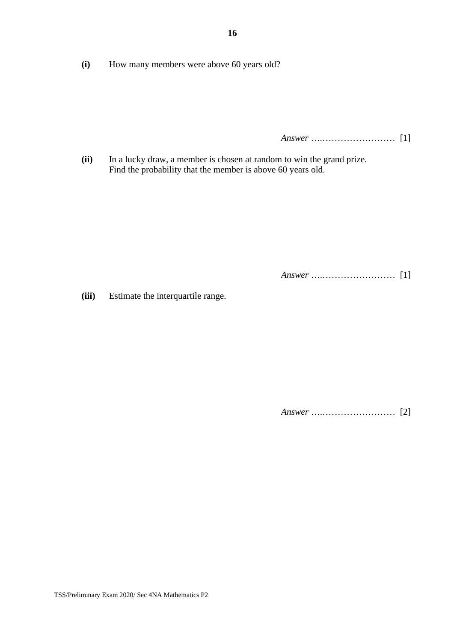**(i)** How many members were above 60 years old?

*Answer* ….…………………… [1]

**(ii)** In a lucky draw, a member is chosen at random to win the grand prize. Find the probability that the member is above 60 years old.

*Answer* ….…………………… [1]

**(iii)** Estimate the interquartile range.

*Answer* ….…………………… [2]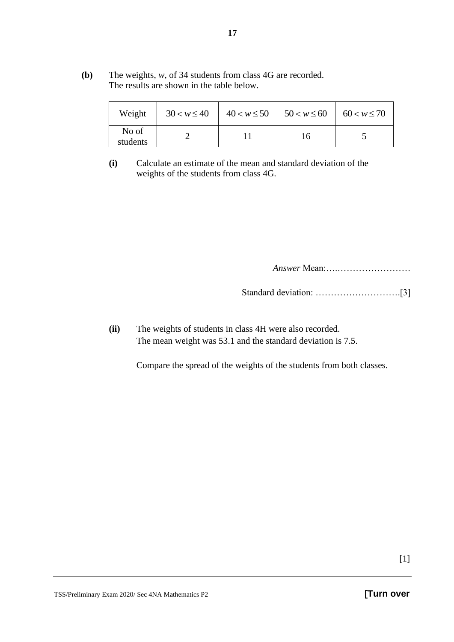**(b)** The weights, *w*, of 34 students from class 4G are recorded. The results are shown in the table below.

| Weight            | $30 < w \le 40$   $40 < w \le 50$   $50 < w \le 60$   $60 < w \le 70$ |    |  |
|-------------------|-----------------------------------------------------------------------|----|--|
| No of<br>students |                                                                       | 16 |  |

**(i)** Calculate an estimate of the mean and standard deviation of the weights of the students from class 4G.

*Answer* Mean:….……………………

Standard deviation: ……………………….[3]

**(ii)** The weights of students in class 4H were also recorded. The mean weight was 53.1 and the standard deviation is 7.5.

Compare the spread of the weights of the students from both classes.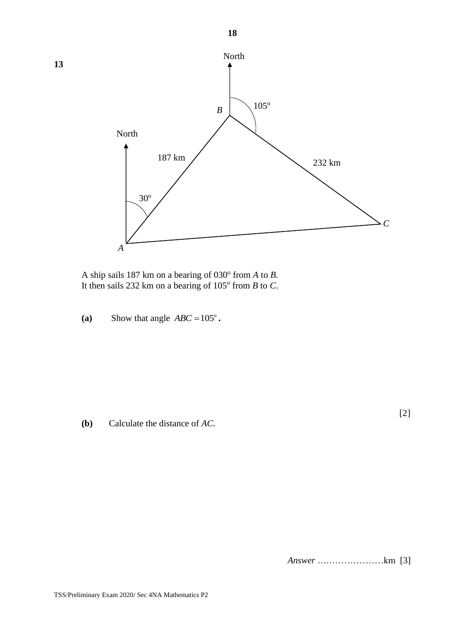

A ship sails 187 km on a bearing of 030° from A to B. It then sails 232 km on a bearing of 105° from *B* to *C*.

(a) Show that angle  $ABC = 105^\circ$ .

**13** 

**(b)** Calculate the distance of *AC*.

[2]

*Answer* ….………………km [3]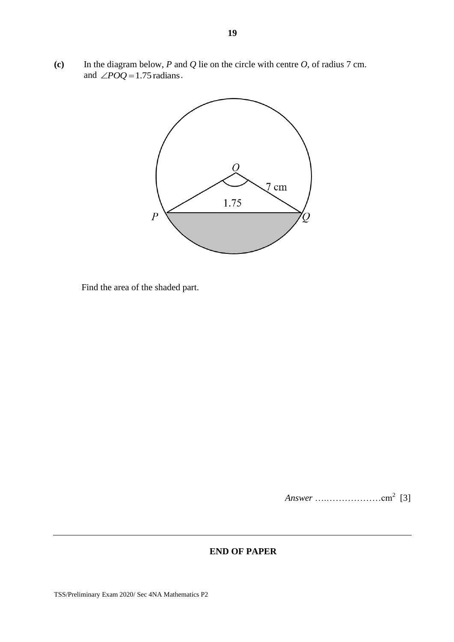**(c)** In the diagram below, *P* and *Q* lie on the circle with centre *O*, of radius 7 cm. and  $\angle POQ = 1.75$  radians.



Find the area of the shaded part.

*Answer* ….………………cm<sup>2</sup> [3]

### **END OF PAPER**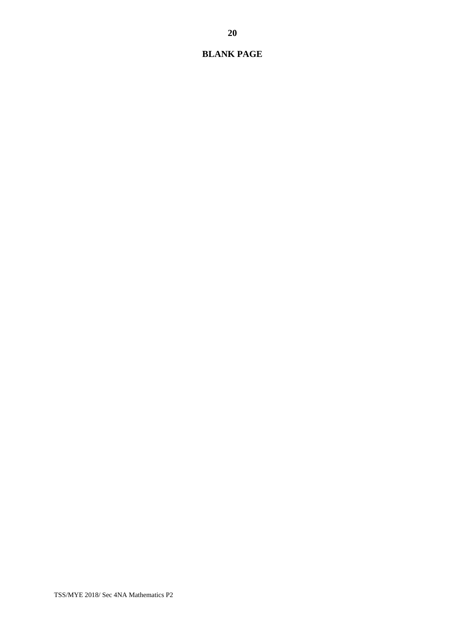# **BLANK PAGE**

TSS/MYE 2018/ Sec 4NA Mathematics P2